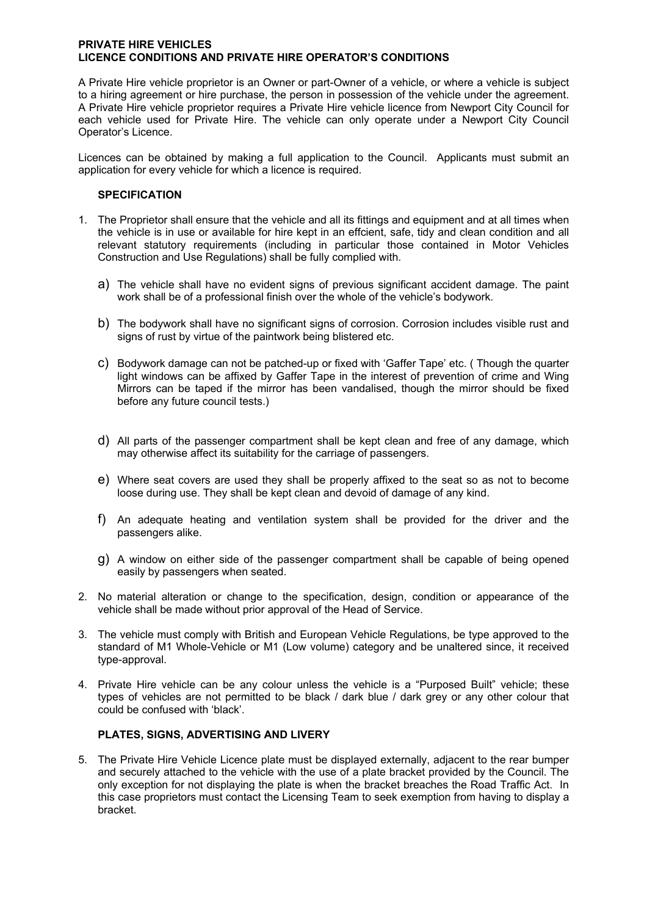#### **PRIVATE HIRE VEHICLES LICENCE CONDITIONS AND PRIVATE HIRE OPERATOR'S CONDITIONS**

A Private Hire vehicle proprietor is an Owner or part-Owner of a vehicle, or where a vehicle is subject to a hiring agreement or hire purchase, the person in possession of the vehicle under the agreement. A Private Hire vehicle proprietor requires a Private Hire vehicle licence from Newport City Council for each vehicle used for Private Hire. The vehicle can only operate under a Newport City Council Operator's Licence.

Licences can be obtained by making a full application to the Council. Applicants must submit an application for every vehicle for which a licence is required.

#### **SPECIFICATION**

- 1. The Proprietor shall ensure that the vehicle and all its fittings and equipment and at all times when the vehicle is in use or available for hire kept in an effcient, safe, tidy and clean condition and all relevant statutory requirements (including in particular those contained in Motor Vehicles Construction and Use Regulations) shall be fully complied with.
	- a) The vehicle shall have no evident signs of previous significant accident damage. The paint work shall be of a professional finish over the whole of the vehicle's bodywork.
	- b) The bodywork shall have no significant signs of corrosion. Corrosion includes visible rust and signs of rust by virtue of the paintwork being blistered etc.
	- c) Bodywork damage can not be patched-up or fixed with 'Gaffer Tape' etc. ( Though the quarter light windows can be affixed by Gaffer Tape in the interest of prevention of crime and Wing Mirrors can be taped if the mirror has been vandalised, though the mirror should be fixed before any future council tests.)
	- d) All parts of the passenger compartment shall be kept clean and free of any damage, which may otherwise affect its suitability for the carriage of passengers.
	- e) Where seat covers are used they shall be properly affixed to the seat so as not to become loose during use. They shall be kept clean and devoid of damage of any kind.
	- f) An adequate heating and ventilation system shall be provided for the driver and the passengers alike.
	- g) A window on either side of the passenger compartment shall be capable of being opened easily by passengers when seated.
- 2. No material alteration or change to the specification, design, condition or appearance of the vehicle shall be made without prior approval of the Head of Service.
- 3. The vehicle must comply with British and European Vehicle Regulations, be type approved to the standard of M1 Whole-Vehicle or M1 (Low volume) category and be unaltered since, it received type-approval.
- 4. Private Hire vehicle can be any colour unless the vehicle is a "Purposed Built" vehicle; these types of vehicles are not permitted to be black / dark blue / dark grey or any other colour that could be confused with 'black'.

## **PLATES, SIGNS, ADVERTISING AND LIVERY**

5. The Private Hire Vehicle Licence plate must be displayed externally, adjacent to the rear bumper and securely attached to the vehicle with the use of a plate bracket provided by the Council. The only exception for not displaying the plate is when the bracket breaches the Road Traffic Act. In this case proprietors must contact the Licensing Team to seek exemption from having to display a bracket.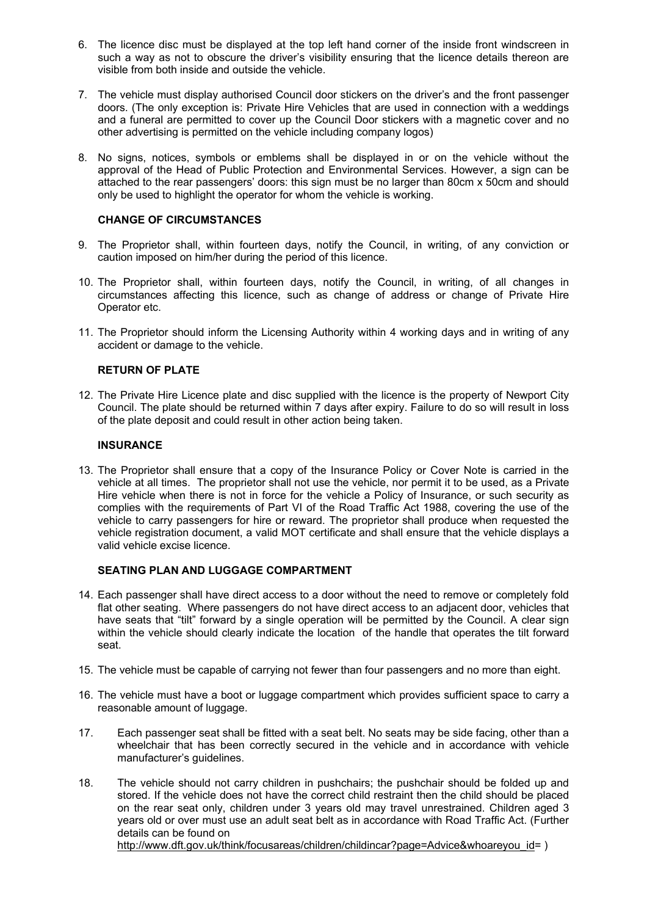- 6. The licence disc must be displayed at the top left hand corner of the inside front windscreen in such a way as not to obscure the driver's visibility ensuring that the licence details thereon are visible from both inside and outside the vehicle.
- 7. The vehicle must display authorised Council door stickers on the driver's and the front passenger doors. (The only exception is: Private Hire Vehicles that are used in connection with a weddings and a funeral are permitted to cover up the Council Door stickers with a magnetic cover and no other advertising is permitted on the vehicle including company logos)
- 8. No signs, notices, symbols or emblems shall be displayed in or on the vehicle without the approval of the Head of Public Protection and Environmental Services. However, a sign can be attached to the rear passengers' doors: this sign must be no larger than 80cm x 50cm and should only be used to highlight the operator for whom the vehicle is working.

#### **CHANGE OF CIRCUMSTANCES**

- 9. The Proprietor shall, within fourteen days, notify the Council, in writing, of any conviction or caution imposed on him/her during the period of this licence.
- 10. The Proprietor shall, within fourteen days, notify the Council, in writing, of all changes in circumstances affecting this licence, such as change of address or change of Private Hire Operator etc.
- 11. The Proprietor should inform the Licensing Authority within 4 working days and in writing of any accident or damage to the vehicle.

#### **RETURN OF PLATE**

12. The Private Hire Licence plate and disc supplied with the licence is the property of Newport City Council. The plate should be returned within 7 days after expiry. Failure to do so will result in loss of the plate deposit and could result in other action being taken.

#### **INSURANCE**

13. The Proprietor shall ensure that a copy of the Insurance Policy or Cover Note is carried in the vehicle at all times. The proprietor shall not use the vehicle, nor permit it to be used, as a Private Hire vehicle when there is not in force for the vehicle a Policy of Insurance, or such security as complies with the requirements of Part VI of the Road Traffic Act 1988, covering the use of the vehicle to carry passengers for hire or reward. The proprietor shall produce when requested the vehicle registration document, a valid MOT certificate and shall ensure that the vehicle displays a valid vehicle excise licence.

# **SEATING PLAN AND LUGGAGE COMPARTMENT**

- 14. Each passenger shall have direct access to a door without the need to remove or completely fold flat other seating. Where passengers do not have direct access to an adjacent door, vehicles that have seats that "tilt" forward by a single operation will be permitted by the Council. A clear sign within the vehicle should clearly indicate the location of the handle that operates the tilt forward seat.
- 15. The vehicle must be capable of carrying not fewer than four passengers and no more than eight.
- 16. The vehicle must have a boot or luggage compartment which provides sufficient space to carry a reasonable amount of luggage.
- 17. Each passenger seat shall be fitted with a seat belt. No seats may be side facing, other than a wheelchair that has been correctly secured in the vehicle and in accordance with vehicle manufacturer's guidelines.
- 18. The vehicle should not carry children in pushchairs; the pushchair should be folded up and stored. If the vehicle does not have the correct child restraint then the child should be placed on the rear seat only, children under 3 years old may travel unrestrained. Children aged 3 years old or over must use an adult seat belt as in accordance with Road Traffic Act. (Further details can be found on

[http://www.dft.gov.uk/think/focusareas/children/childincar?page=Advice&whoareyou\\_id](http://www.dft.gov.uk/think/focusareas/children/childincar?page=Advice&whoareyou_id)= )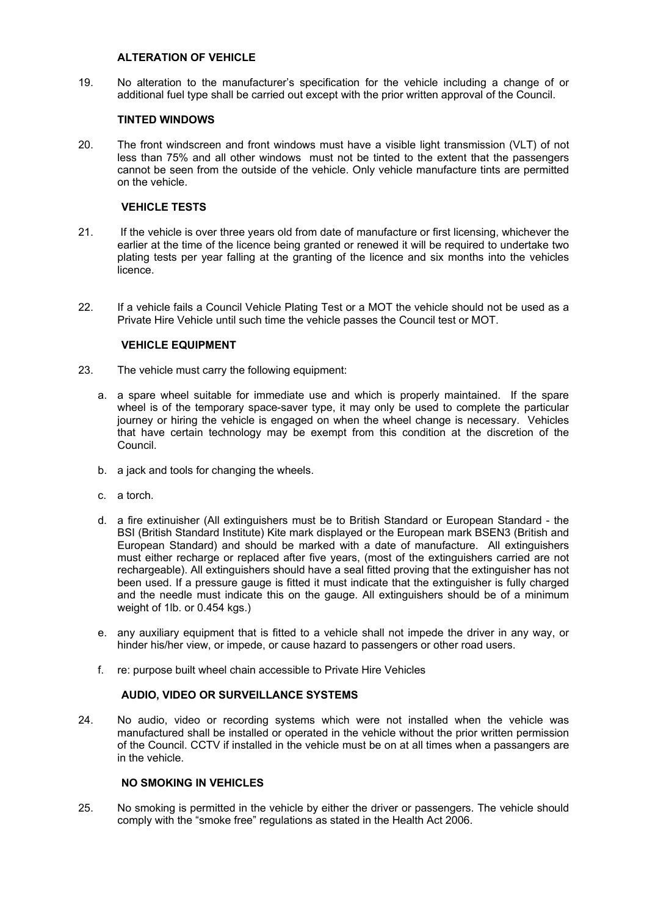#### **ALTERATION OF VEHICLE**

19. No alteration to the manufacturer's specification for the vehicle including a change of or additional fuel type shall be carried out except with the prior written approval of the Council.

## **TINTED WINDOWS**

20. The front windscreen and front windows must have a visible light transmission (VLT) of not less than 75% and all other windows must not be tinted to the extent that the passengers cannot be seen from the outside of the vehicle. Only vehicle manufacture tints are permitted on the vehicle.

# **VEHICLE TESTS**

- 21. If the vehicle is over three years old from date of manufacture or first licensing, whichever the earlier at the time of the licence being granted or renewed it will be required to undertake two plating tests per year falling at the granting of the licence and six months into the vehicles licence.
- 22. If a vehicle fails a Council Vehicle Plating Test or a MOT the vehicle should not be used as a Private Hire Vehicle until such time the vehicle passes the Council test or MOT.

# **VEHICLE EQUIPMENT**

- 23. The vehicle must carry the following equipment:
	- a. a spare wheel suitable for immediate use and which is properly maintained. If the spare wheel is of the temporary space-saver type, it may only be used to complete the particular journey or hiring the vehicle is engaged on when the wheel change is necessary. Vehicles that have certain technology may be exempt from this condition at the discretion of the Council.
	- b. a jack and tools for changing the wheels.
	- c. a torch.
	- d. a fire extinuisher (All extinguishers must be to British Standard or European Standard the BSI (British Standard Institute) Kite mark displayed or the European mark BSEN3 (British and European Standard) and should be marked with a date of manufacture. All extinguishers must either recharge or replaced after five years, (most of the extinguishers carried are not rechargeable). All extinguishers should have a seal fitted proving that the extinguisher has not been used. If a pressure gauge is fitted it must indicate that the extinguisher is fully charged and the needle must indicate this on the gauge. All extinguishers should be of a minimum weight of 1lb. or 0.454 kgs.)
	- e. any auxiliary equipment that is fitted to a vehicle shall not impede the driver in any way, or hinder his/her view, or impede, or cause hazard to passengers or other road users.
	- f. re: purpose built wheel chain accessible to Private Hire Vehicles

## **AUDIO, VIDEO OR SURVEILLANCE SYSTEMS**

24. No audio, video or recording systems which were not installed when the vehicle was manufactured shall be installed or operated in the vehicle without the prior written permission of the Council. CCTV if installed in the vehicle must be on at all times when a passangers are in the vehicle.

## **NO SMOKING IN VEHICLES**

25. No smoking is permitted in the vehicle by either the driver or passengers. The vehicle should comply with the "smoke free" regulations as stated in the Health Act 2006.